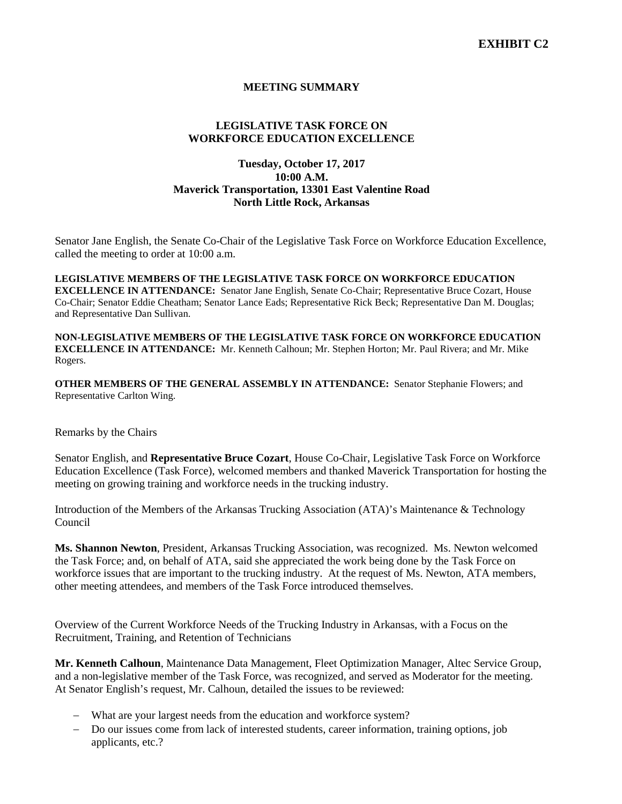## **MEETING SUMMARY**

# **LEGISLATIVE TASK FORCE ON WORKFORCE EDUCATION EXCELLENCE**

## **Tuesday, October 17, 2017 10:00 A.M. Maverick Transportation, 13301 East Valentine Road North Little Rock, Arkansas**

Senator Jane English, the Senate Co-Chair of the Legislative Task Force on Workforce Education Excellence, called the meeting to order at 10:00 a.m.

**LEGISLATIVE MEMBERS OF THE LEGISLATIVE TASK FORCE ON WORKFORCE EDUCATION EXCELLENCE IN ATTENDANCE:** Senator Jane English, Senate Co-Chair; Representative Bruce Cozart, House Co-Chair; Senator Eddie Cheatham; Senator Lance Eads; Representative Rick Beck; Representative Dan M. Douglas; and Representative Dan Sullivan.

**NON-LEGISLATIVE MEMBERS OF THE LEGISLATIVE TASK FORCE ON WORKFORCE EDUCATION EXCELLENCE IN ATTENDANCE:** Mr. Kenneth Calhoun; Mr. Stephen Horton; Mr. Paul Rivera; and Mr. Mike Rogers.

**OTHER MEMBERS OF THE GENERAL ASSEMBLY IN ATTENDANCE:** Senator Stephanie Flowers; and Representative Carlton Wing.

Remarks by the Chairs

Senator English, and **Representative Bruce Cozart**, House Co-Chair, Legislative Task Force on Workforce Education Excellence (Task Force), welcomed members and thanked Maverick Transportation for hosting the meeting on growing training and workforce needs in the trucking industry.

Introduction of the Members of the Arkansas Trucking Association (ATA)'s Maintenance & Technology Council

**Ms. Shannon Newton**, President, Arkansas Trucking Association, was recognized. Ms. Newton welcomed the Task Force; and, on behalf of ATA, said she appreciated the work being done by the Task Force on workforce issues that are important to the trucking industry. At the request of Ms. Newton, ATA members, other meeting attendees, and members of the Task Force introduced themselves.

Overview of the Current Workforce Needs of the Trucking Industry in Arkansas, with a Focus on the Recruitment, Training, and Retention of Technicians

**Mr. Kenneth Calhoun**, Maintenance Data Management, Fleet Optimization Manager, Altec Service Group, and a non-legislative member of the Task Force, was recognized, and served as Moderator for the meeting. At Senator English's request, Mr. Calhoun, detailed the issues to be reviewed:

- − What are your largest needs from the education and workforce system?
- − Do our issues come from lack of interested students, career information, training options, job applicants, etc.?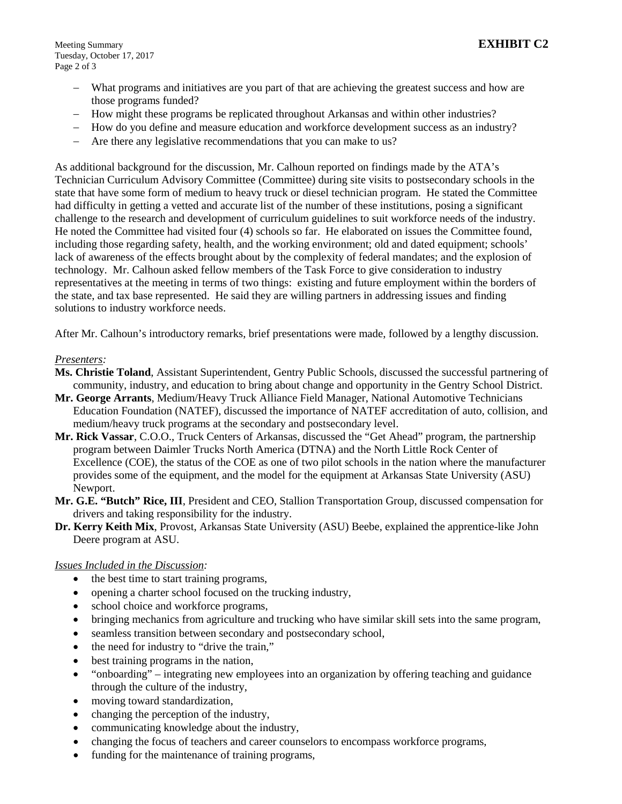- − What programs and initiatives are you part of that are achieving the greatest success and how are those programs funded?
- − How might these programs be replicated throughout Arkansas and within other industries?
- − How do you define and measure education and workforce development success as an industry?
- − Are there any legislative recommendations that you can make to us?

As additional background for the discussion, Mr. Calhoun reported on findings made by the ATA's Technician Curriculum Advisory Committee (Committee) during site visits to postsecondary schools in the state that have some form of medium to heavy truck or diesel technician program. He stated the Committee had difficulty in getting a vetted and accurate list of the number of these institutions, posing a significant challenge to the research and development of curriculum guidelines to suit workforce needs of the industry. He noted the Committee had visited four (4) schools so far. He elaborated on issues the Committee found, including those regarding safety, health, and the working environment; old and dated equipment; schools' lack of awareness of the effects brought about by the complexity of federal mandates; and the explosion of technology. Mr. Calhoun asked fellow members of the Task Force to give consideration to industry representatives at the meeting in terms of two things: existing and future employment within the borders of the state, and tax base represented. He said they are willing partners in addressing issues and finding solutions to industry workforce needs.

After Mr. Calhoun's introductory remarks, brief presentations were made, followed by a lengthy discussion.

#### *Presenters:*

- **Ms. Christie Toland**, Assistant Superintendent, Gentry Public Schools, discussed the successful partnering of community, industry, and education to bring about change and opportunity in the Gentry School District.
- **Mr. George Arrants**, Medium/Heavy Truck Alliance Field Manager, National Automotive Technicians Education Foundation (NATEF), discussed the importance of NATEF accreditation of auto, collision, and medium/heavy truck programs at the secondary and postsecondary level.
- **Mr. Rick Vassar**, C.O.O., Truck Centers of Arkansas, discussed the "Get Ahead" program, the partnership program between Daimler Trucks North America (DTNA) and the North Little Rock Center of Excellence (COE), the status of the COE as one of two pilot schools in the nation where the manufacturer provides some of the equipment, and the model for the equipment at Arkansas State University (ASU) Newport.
- **Mr. G.E. "Butch" Rice, III**, President and CEO, Stallion Transportation Group, discussed compensation for drivers and taking responsibility for the industry.
- **Dr. Kerry Keith Mix**, Provost, Arkansas State University (ASU) Beebe, explained the apprentice-like John Deere program at ASU.

### *Issues Included in the Discussion:*

- the best time to start training programs,
- opening a charter school focused on the trucking industry,
- school choice and workforce programs,
- bringing mechanics from agriculture and trucking who have similar skill sets into the same program,
- seamless transition between secondary and postsecondary school,
- the need for industry to "drive the train,"
- best training programs in the nation,
- "onboarding" integrating new employees into an organization by offering teaching and guidance through the culture of the industry,
- moving toward standardization,
- changing the perception of the industry,
- communicating knowledge about the industry,
- changing the focus of teachers and career counselors to encompass workforce programs,
- funding for the maintenance of training programs,